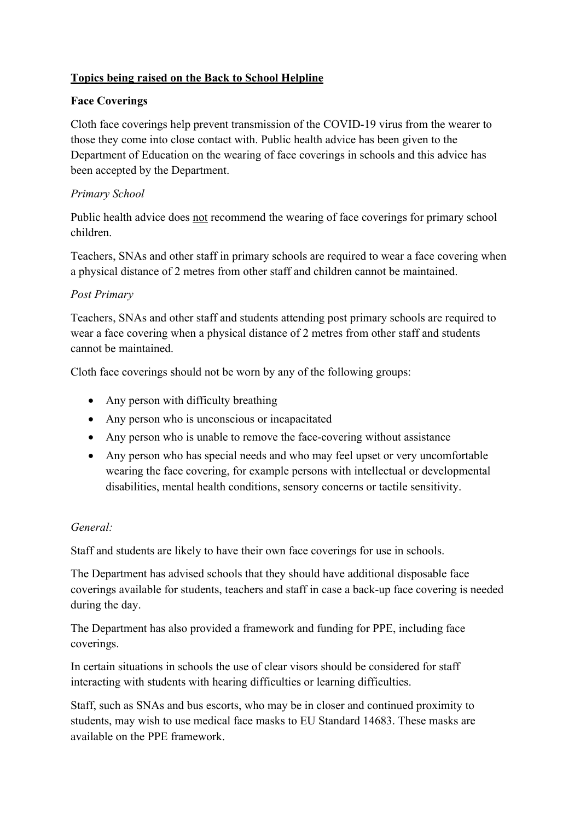# **Topics being raised on the Back to School Helpline**

## **Face Coverings**

Cloth face coverings help prevent transmission of the COVID-19 virus from the wearer to those they come into close contact with. Public health advice has been given to the Department of Education on the wearing of face coverings in schools and this advice has been accepted by the Department.

## *Primary School*

Public health advice does not recommend the wearing of face coverings for primary school children.

Teachers, SNAs and other staff in primary schools are required to wear a face covering when a physical distance of 2 metres from other staff and children cannot be maintained.

### *Post Primary*

Teachers, SNAs and other staff and students attending post primary schools are required to wear a face covering when a physical distance of 2 metres from other staff and students cannot be maintained.

Cloth face coverings should not be worn by any of the following groups:

- Any person with difficulty breathing
- Any person who is unconscious or incapacitated
- Any person who is unable to remove the face-covering without assistance
- Any person who has special needs and who may feel upset or very uncomfortable wearing the face covering, for example persons with intellectual or developmental disabilities, mental health conditions, sensory concerns or tactile sensitivity.

### *General:*

Staff and students are likely to have their own face coverings for use in schools.

The Department has advised schools that they should have additional disposable face coverings available for students, teachers and staff in case a back-up face covering is needed during the day.

The Department has also provided a framework and funding for PPE, including face coverings.

In certain situations in schools the use of clear visors should be considered for staff interacting with students with hearing difficulties or learning difficulties.

Staff, such as SNAs and bus escorts, who may be in closer and continued proximity to students, may wish to use medical face masks to EU Standard 14683. These masks are available on the PPE framework.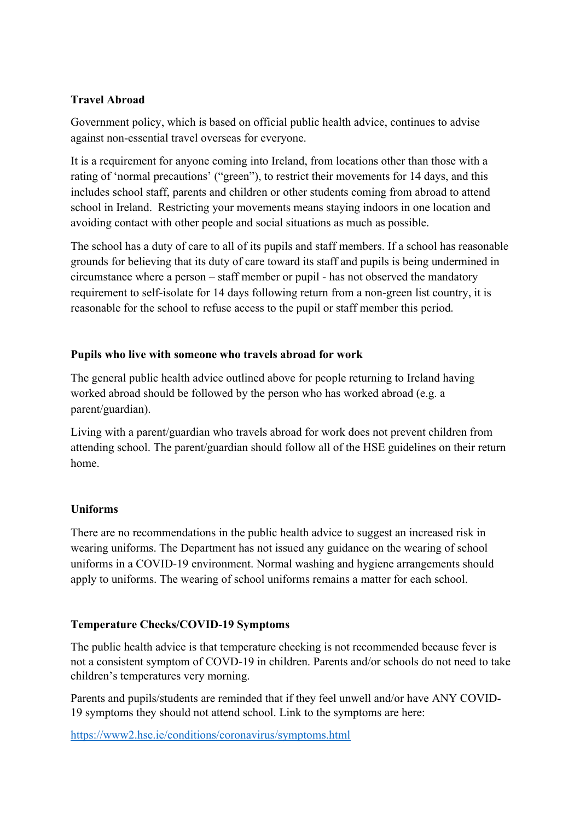## **Travel Abroad**

Government policy, which is based on official public health advice, continues to advise against non-essential travel overseas for everyone.

It is a requirement for anyone coming into Ireland, from locations other than those with a rating of 'normal precautions' ("green"), to restrict their movements for 14 days, and this includes school staff, parents and children or other students coming from abroad to attend school in Ireland. Restricting your movements means staying indoors in one location and avoiding contact with other people and social situations as much as possible.

The school has a duty of care to all of its pupils and staff members. If a school has reasonable grounds for believing that its duty of care toward its staff and pupils is being undermined in circumstance where a person – staff member or pupil - has not observed the mandatory requirement to self-isolate for 14 days following return from a non-green list country, it is reasonable for the school to refuse access to the pupil or staff member this period.

## **Pupils who live with someone who travels abroad for work**

The general public health advice outlined above for people returning to Ireland having worked abroad should be followed by the person who has worked abroad (e.g. a parent/guardian).

Living with a parent/guardian who travels abroad for work does not prevent children from attending school. The parent/guardian should follow all of the HSE guidelines on their return home.

# **Uniforms**

There are no recommendations in the public health advice to suggest an increased risk in wearing uniforms. The Department has not issued any guidance on the wearing of school uniforms in a COVID-19 environment. Normal washing and hygiene arrangements should apply to uniforms. The wearing of school uniforms remains a matter for each school.

# **Temperature Checks/COVID-19 Symptoms**

The public health advice is that temperature checking is not recommended because fever is not a consistent symptom of COVD-19 in children. Parents and/or schools do not need to take children's temperatures very morning.

Parents and pupils/students are reminded that if they feel unwell and/or have ANY COVID-19 symptoms they should not attend school. Link to the symptoms are here:

https://www2.hse.ie/conditions/coronavirus/symptoms.html